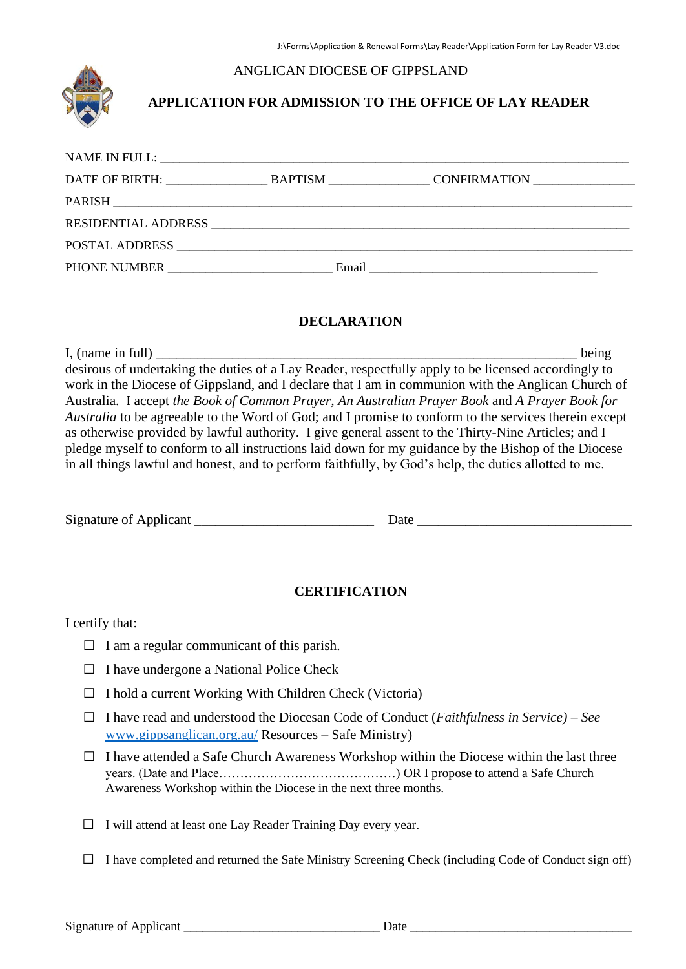#### ANGLICAN DIOCESE OF GIPPSLAND



## **APPLICATION FOR ADMISSION TO THE OFFICE OF LAY READER**

| DATE OF BIRTH: University Property of Bill |       | BAPTISM CONFIRMATION                                                                                                  |  |
|--------------------------------------------|-------|-----------------------------------------------------------------------------------------------------------------------|--|
|                                            |       |                                                                                                                       |  |
|                                            |       |                                                                                                                       |  |
| POSTAL ADDRESS                             |       |                                                                                                                       |  |
|                                            | Email | <u> 1980 - Jan Barbara, martin da shekara tsara 1980 - An tsara 1980 - An tsara 1980 - An tsara 1980 - An tsara 1</u> |  |

#### **DECLARATION**

I, (name in full) being desirous of undertaking the duties of a Lay Reader, respectfully apply to be licensed accordingly to work in the Diocese of Gippsland, and I declare that I am in communion with the Anglican Church of Australia. I accept *the Book of Common Prayer, An Australian Prayer Book* and *A Prayer Book for Australia* to be agreeable to the Word of God; and I promise to conform to the services therein except as otherwise provided by lawful authority. I give general assent to the Thirty-Nine Articles; and I pledge myself to conform to all instructions laid down for my guidance by the Bishop of the Diocese in all things lawful and honest, and to perform faithfully, by God's help, the duties allotted to me.

Signature of Applicant \_\_\_\_\_\_\_\_\_\_\_\_\_\_\_\_\_\_\_\_\_\_\_\_\_\_ Date \_\_\_\_\_\_\_\_\_\_\_\_\_\_\_\_\_\_\_\_\_\_\_\_\_\_\_\_\_\_\_

### **CERTIFICATION**

#### I certify that:

- $\Box$  I am a regular communicant of this parish.
- $\Box$  I have undergone a National Police Check
- □ I hold a current Working With Children Check (Victoria)
- □ I have read and understood the Diocesan Code of Conduct (*Faithfulness in Service) – See*  [www.gippsanglican.org.au/](http://www.gippsanglican.org.au/) Resources – Safe Ministry)
- $\Box$  I have attended a Safe Church Awareness Workshop within the Diocese within the last three years. (Date and Place……………………………………) OR I propose to attend a Safe Church Awareness Workshop within the Diocese in the next three months.
- $\Box$  I will attend at least one Lay Reader Training Day every year.
- $\Box$  I have completed and returned the Safe Ministry Screening Check (including Code of Conduct sign off)